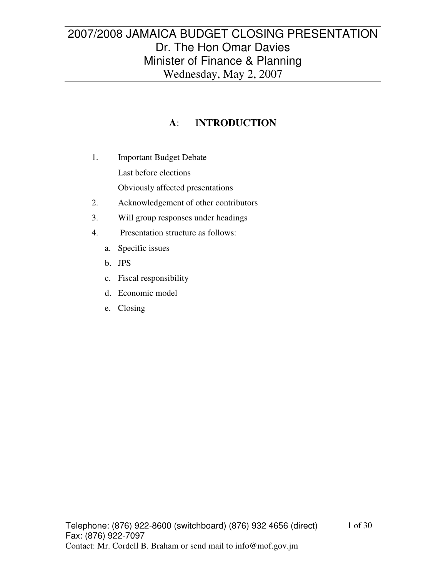#### **A**: I**NTRODUCTION**

- 1. Important Budget Debate Last before elections Obviously affected presentations
- 2. Acknowledgement of other contributors
- 3. Will group responses under headings
- 4. Presentation structure as follows:
	- a. Specific issues
	- b. JPS
	- c. Fiscal responsibility
	- d. Economic model
	- e. Closing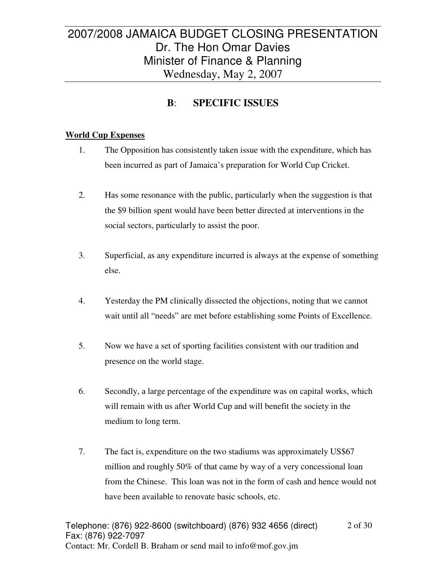#### **B**: **SPECIFIC ISSUES**

#### **World Cup Expenses**

- 1. The Opposition has consistently taken issue with the expenditure, which has been incurred as part of Jamaica's preparation for World Cup Cricket.
- 2. Has some resonance with the public, particularly when the suggestion is that the \$9 billion spent would have been better directed at interventions in the social sectors, particularly to assist the poor.
- 3. Superficial, as any expenditure incurred is always at the expense of something else.
- 4. Yesterday the PM clinically dissected the objections, noting that we cannot wait until all "needs" are met before establishing some Points of Excellence.
- 5. Now we have a set of sporting facilities consistent with our tradition and presence on the world stage.
- 6. Secondly, a large percentage of the expenditure was on capital works, which will remain with us after World Cup and will benefit the society in the medium to long term.
- 7. The fact is, expenditure on the two stadiums was approximately US\$67 million and roughly 50% of that came by way of a very concessional loan from the Chinese. This loan was not in the form of cash and hence would not have been available to renovate basic schools, etc.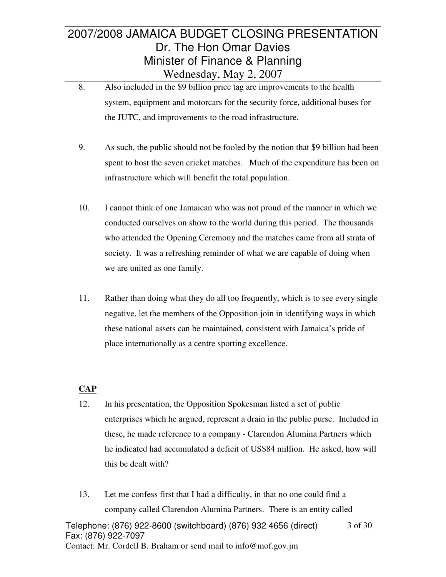- 8. Also included in the \$9 billion price tag are improvements to the health system, equipment and motorcars for the security force, additional buses for the JUTC, and improvements to the road infrastructure.
- 9. As such, the public should not be fooled by the notion that \$9 billion had been spent to host the seven cricket matches. Much of the expenditure has been on infrastructure which will benefit the total population.
- 10. I cannot think of one Jamaican who was not proud of the manner in which we conducted ourselves on show to the world during this period. The thousands who attended the Opening Ceremony and the matches came from all strata of society. It was a refreshing reminder of what we are capable of doing when we are united as one family.
- 11. Rather than doing what they do all too frequently, which is to see every single negative, let the members of the Opposition join in identifying ways in which these national assets can be maintained, consistent with Jamaica's pride of place internationally as a centre sporting excellence.

#### **CAP**

- 12. In his presentation, the Opposition Spokesman listed a set of public enterprises which he argued, represent a drain in the public purse. Included in these, he made reference to a company - Clarendon Alumina Partners which he indicated had accumulated a deficit of US\$84 million. He asked, how will this be dealt with?
- 13. Let me confess first that I had a difficulty, in that no one could find a company called Clarendon Alumina Partners. There is an entity called

Telephone: (876) 922-8600 (switchboard) (876) 932 4656 (direct) Fax: (876) 922-7097 Contact: Mr. Cordell B. Braham or send mail to info@mof.gov.jm 3 of 30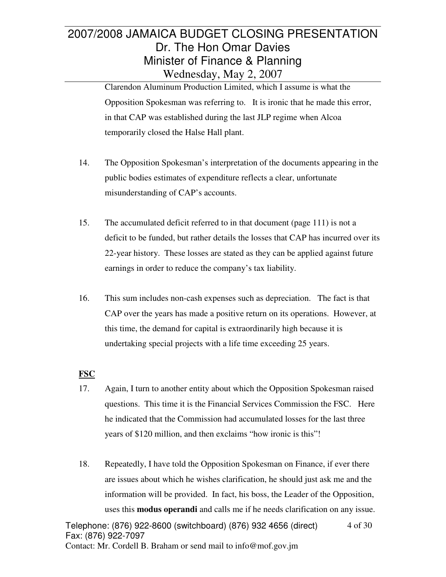Clarendon Aluminum Production Limited, which I assume is what the Opposition Spokesman was referring to. It is ironic that he made this error, in that CAP was established during the last JLP regime when Alcoa temporarily closed the Halse Hall plant.

- 14. The Opposition Spokesman's interpretation of the documents appearing in the public bodies estimates of expenditure reflects a clear, unfortunate misunderstanding of CAP's accounts.
- 15. The accumulated deficit referred to in that document (page 111) is not a deficit to be funded, but rather details the losses that CAP has incurred over its 22-year history. These losses are stated as they can be applied against future earnings in order to reduce the company's tax liability.
- 16. This sum includes non-cash expenses such as depreciation. The fact is that CAP over the years has made a positive return on its operations. However, at this time, the demand for capital is extraordinarily high because it is undertaking special projects with a life time exceeding 25 years.

#### **FSC**

- 17. Again, I turn to another entity about which the Opposition Spokesman raised questions. This time it is the Financial Services Commission the FSC. Here he indicated that the Commission had accumulated losses for the last three years of \$120 million, and then exclaims "how ironic is this"!
- 18. Repeatedly, I have told the Opposition Spokesman on Finance, if ever there are issues about which he wishes clarification, he should just ask me and the information will be provided. In fact, his boss, the Leader of the Opposition, uses this **modus operandi** and calls me if he needs clarification on any issue.

Telephone: (876) 922-8600 (switchboard) (876) 932 4656 (direct) Fax: (876) 922-7097 Contact: Mr. Cordell B. Braham or send mail to info@mof.gov.jm 4 of 30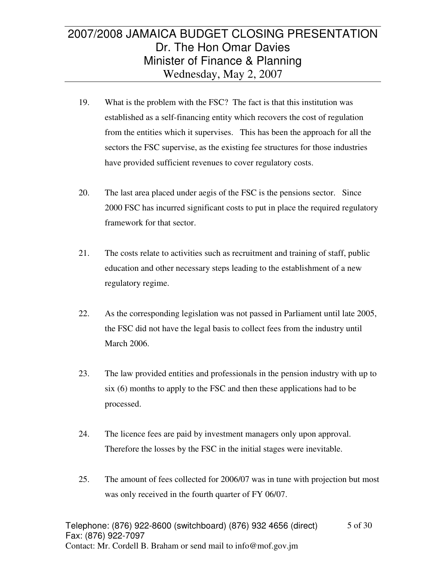- 19. What is the problem with the FSC? The fact is that this institution was established as a self-financing entity which recovers the cost of regulation from the entities which it supervises. This has been the approach for all the sectors the FSC supervise, as the existing fee structures for those industries have provided sufficient revenues to cover regulatory costs.
- 20. The last area placed under aegis of the FSC is the pensions sector. Since 2000 FSC has incurred significant costs to put in place the required regulatory framework for that sector.
- 21. The costs relate to activities such as recruitment and training of staff, public education and other necessary steps leading to the establishment of a new regulatory regime.
- 22. As the corresponding legislation was not passed in Parliament until late 2005, the FSC did not have the legal basis to collect fees from the industry until March 2006.
- 23. The law provided entities and professionals in the pension industry with up to six (6) months to apply to the FSC and then these applications had to be processed.
- 24. The licence fees are paid by investment managers only upon approval. Therefore the losses by the FSC in the initial stages were inevitable.
- 25. The amount of fees collected for 2006/07 was in tune with projection but most was only received in the fourth quarter of FY 06/07.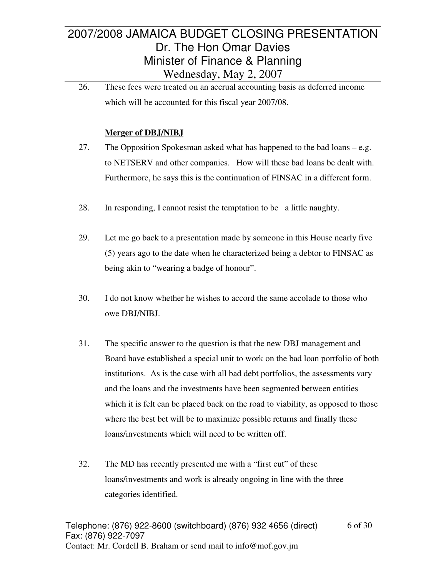26. These fees were treated on an accrual accounting basis as deferred income which will be accounted for this fiscal year 2007/08.

#### **Merger of DBJ/NIBJ**

- 27. The Opposition Spokesman asked what has happened to the bad loans e.g. to NETSERV and other companies. How will these bad loans be dealt with. Furthermore, he says this is the continuation of FINSAC in a different form.
- 28. In responding, I cannot resist the temptation to be a little naughty.
- 29. Let me go back to a presentation made by someone in this House nearly five (5) years ago to the date when he characterized being a debtor to FINSAC as being akin to "wearing a badge of honour".
- 30. I do not know whether he wishes to accord the same accolade to those who owe DBJ/NIBJ.
- 31. The specific answer to the question is that the new DBJ management and Board have established a special unit to work on the bad loan portfolio of both institutions. As is the case with all bad debt portfolios, the assessments vary and the loans and the investments have been segmented between entities which it is felt can be placed back on the road to viability, as opposed to those where the best bet will be to maximize possible returns and finally these loans/investments which will need to be written off.
- 32. The MD has recently presented me with a "first cut" of these loans/investments and work is already ongoing in line with the three categories identified.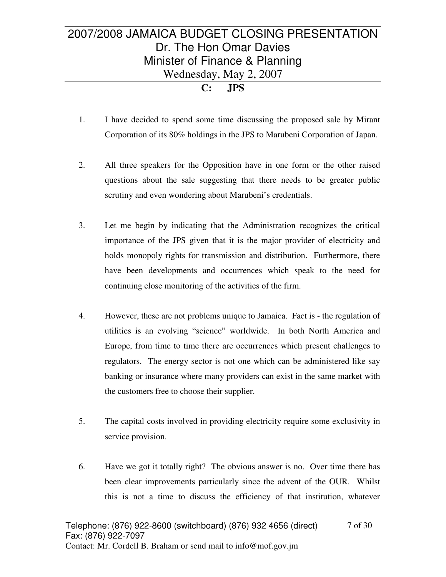- 1. I have decided to spend some time discussing the proposed sale by Mirant Corporation of its 80% holdings in the JPS to Marubeni Corporation of Japan.
- 2. All three speakers for the Opposition have in one form or the other raised questions about the sale suggesting that there needs to be greater public scrutiny and even wondering about Marubeni's credentials.
- 3. Let me begin by indicating that the Administration recognizes the critical importance of the JPS given that it is the major provider of electricity and holds monopoly rights for transmission and distribution. Furthermore, there have been developments and occurrences which speak to the need for continuing close monitoring of the activities of the firm.
- 4. However, these are not problems unique to Jamaica. Fact is the regulation of utilities is an evolving "science" worldwide. In both North America and Europe, from time to time there are occurrences which present challenges to regulators. The energy sector is not one which can be administered like say banking or insurance where many providers can exist in the same market with the customers free to choose their supplier.
- 5. The capital costs involved in providing electricity require some exclusivity in service provision.
- 6. Have we got it totally right? The obvious answer is no. Over time there has been clear improvements particularly since the advent of the OUR. Whilst this is not a time to discuss the efficiency of that institution, whatever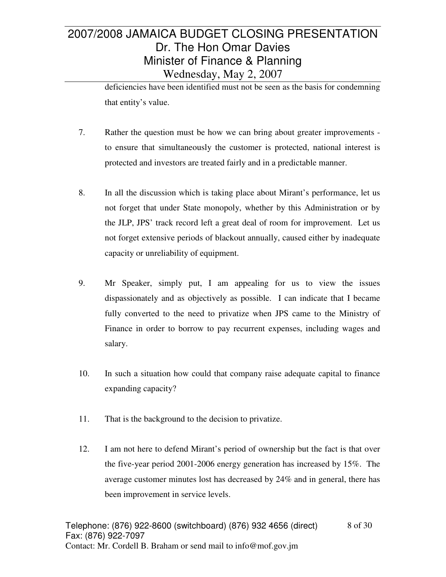deficiencies have been identified must not be seen as the basis for condemning that entity's value.

- 7. Rather the question must be how we can bring about greater improvements to ensure that simultaneously the customer is protected, national interest is protected and investors are treated fairly and in a predictable manner.
- 8. In all the discussion which is taking place about Mirant's performance, let us not forget that under State monopoly, whether by this Administration or by the JLP, JPS' track record left a great deal of room for improvement. Let us not forget extensive periods of blackout annually, caused either by inadequate capacity or unreliability of equipment.
- 9. Mr Speaker, simply put, I am appealing for us to view the issues dispassionately and as objectively as possible. I can indicate that I became fully converted to the need to privatize when JPS came to the Ministry of Finance in order to borrow to pay recurrent expenses, including wages and salary.
- 10. In such a situation how could that company raise adequate capital to finance expanding capacity?
- 11. That is the background to the decision to privatize.
- 12. I am not here to defend Mirant's period of ownership but the fact is that over the five-year period 2001-2006 energy generation has increased by 15%. The average customer minutes lost has decreased by 24% and in general, there has been improvement in service levels.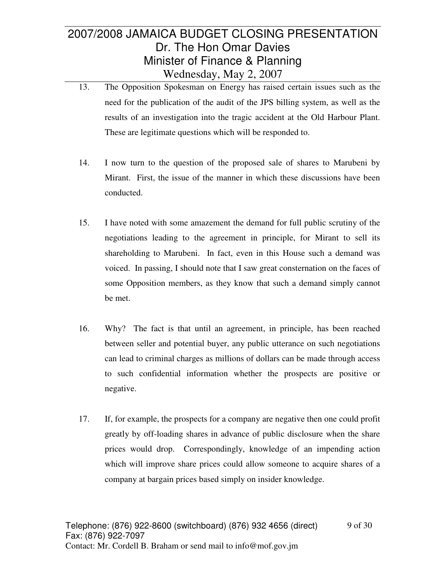- 13. The Opposition Spokesman on Energy has raised certain issues such as the need for the publication of the audit of the JPS billing system, as well as the results of an investigation into the tragic accident at the Old Harbour Plant. These are legitimate questions which will be responded to.
- 14. I now turn to the question of the proposed sale of shares to Marubeni by Mirant. First, the issue of the manner in which these discussions have been conducted.
- 15. I have noted with some amazement the demand for full public scrutiny of the negotiations leading to the agreement in principle, for Mirant to sell its shareholding to Marubeni. In fact, even in this House such a demand was voiced. In passing, I should note that I saw great consternation on the faces of some Opposition members, as they know that such a demand simply cannot be met.
- 16. Why? The fact is that until an agreement, in principle, has been reached between seller and potential buyer, any public utterance on such negotiations can lead to criminal charges as millions of dollars can be made through access to such confidential information whether the prospects are positive or negative.
- 17. If, for example, the prospects for a company are negative then one could profit greatly by off-loading shares in advance of public disclosure when the share prices would drop. Correspondingly, knowledge of an impending action which will improve share prices could allow someone to acquire shares of a company at bargain prices based simply on insider knowledge.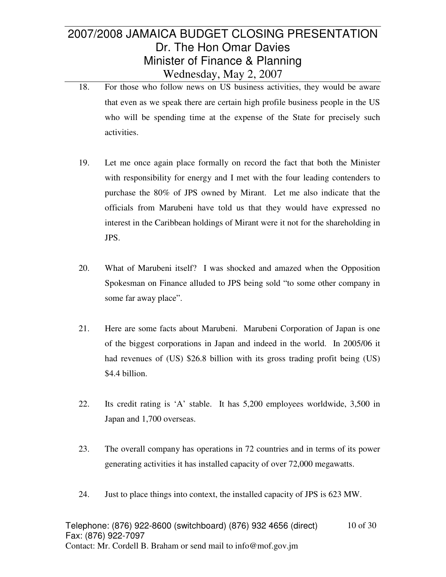- 18. For those who follow news on US business activities, they would be aware that even as we speak there are certain high profile business people in the US who will be spending time at the expense of the State for precisely such activities.
- 19. Let me once again place formally on record the fact that both the Minister with responsibility for energy and I met with the four leading contenders to purchase the 80% of JPS owned by Mirant. Let me also indicate that the officials from Marubeni have told us that they would have expressed no interest in the Caribbean holdings of Mirant were it not for the shareholding in JPS.
- 20. What of Marubeni itself? I was shocked and amazed when the Opposition Spokesman on Finance alluded to JPS being sold "to some other company in some far away place".
- 21. Here are some facts about Marubeni. Marubeni Corporation of Japan is one of the biggest corporations in Japan and indeed in the world. In 2005/06 it had revenues of (US) \$26.8 billion with its gross trading profit being (US) \$4.4 billion.
- 22. Its credit rating is 'A' stable. It has 5,200 employees worldwide, 3,500 in Japan and 1,700 overseas.
- 23. The overall company has operations in 72 countries and in terms of its power generating activities it has installed capacity of over 72,000 megawatts.
- 24. Just to place things into context, the installed capacity of JPS is 623 MW.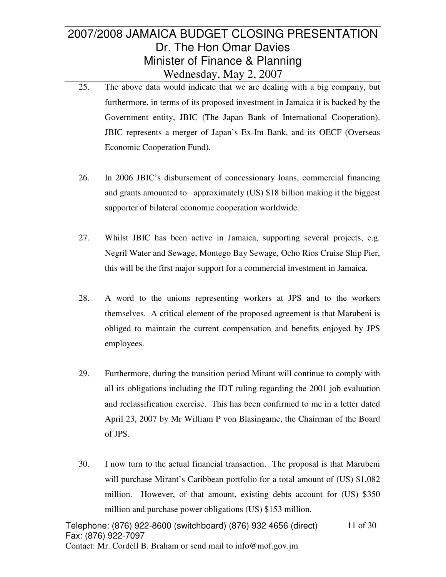- 25. The above data would indicate that we are dealing with a big company, but furthermore, in terms of its proposed investment in Jamaica it is backed by the Government entity, JBIC (The Japan Bank of International Cooperation). JBIC represents a merger of Japan's Ex-Im Bank, and its OECF (Overseas Economic Cooperation Fund).
- 26. In 2006 JBIC's disbursement of concessionary loans, commercial financing and grants amounted to approximately (US) \$18 billion making it the biggest supporter of bilateral economic cooperation worldwide.
- 27. Whilst JBIC has been active in Jamaica, supporting several projects, e.g. Negril Water and Sewage, Montego Bay Sewage, Ocho Rios Cruise Ship Pier, this will be the first major support for a commercial investment in Jamaica.
- 28. A word to the unions representing workers at JPS and to the workers themselves. A critical element of the proposed agreement is that Marubeni is obliged to maintain the current compensation and benefits enjoyed by JPS employees.
- 29. Furthermore, during the transition period Mirant will continue to comply with all its obligations including the IDT ruling regarding the 2001 job evaluation and reclassification exercise. This has been confirmed to me in a letter dated April 23, 2007 by Mr William P von Blasingame, the Chairman of the Board of JPS.
- 30. I now turn to the actual financial transaction. The proposal is that Marubeni will purchase Mirant's Caribbean portfolio for a total amount of (US) \$1,082 million. However, of that amount, existing debts account for (US) \$350 million and purchase power obligations (US) \$153 million.

Telephone: (876) 922-8600 (switchboard) (876) 932 4656 (direct) Fax: (876) 922-7097 Contact: Mr. Cordell B. Braham or send mail to info@mof.gov.jm 11 of 30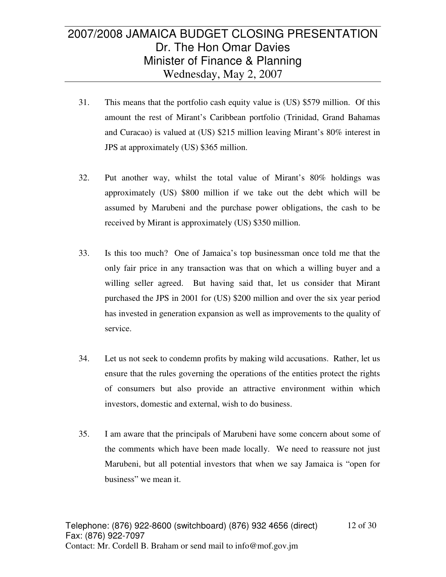- 31. This means that the portfolio cash equity value is (US) \$579 million. Of this amount the rest of Mirant's Caribbean portfolio (Trinidad, Grand Bahamas and Curacao) is valued at (US) \$215 million leaving Mirant's 80% interest in JPS at approximately (US) \$365 million.
- 32. Put another way, whilst the total value of Mirant's 80% holdings was approximately (US) \$800 million if we take out the debt which will be assumed by Marubeni and the purchase power obligations, the cash to be received by Mirant is approximately (US) \$350 million.
- 33. Is this too much? One of Jamaica's top businessman once told me that the only fair price in any transaction was that on which a willing buyer and a willing seller agreed. But having said that, let us consider that Mirant purchased the JPS in 2001 for (US) \$200 million and over the six year period has invested in generation expansion as well as improvements to the quality of service.
- 34. Let us not seek to condemn profits by making wild accusations. Rather, let us ensure that the rules governing the operations of the entities protect the rights of consumers but also provide an attractive environment within which investors, domestic and external, wish to do business.
- 35. I am aware that the principals of Marubeni have some concern about some of the comments which have been made locally. We need to reassure not just Marubeni, but all potential investors that when we say Jamaica is "open for business" we mean it.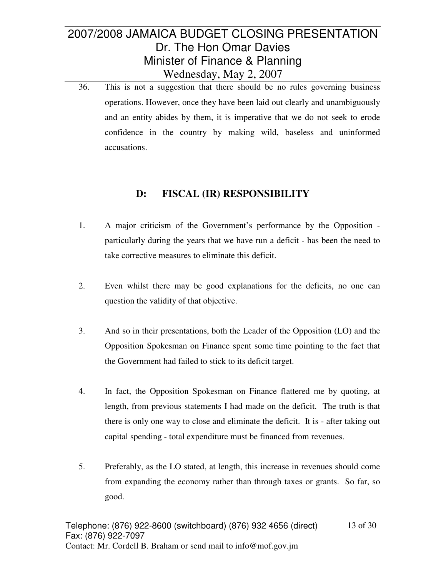36. This is not a suggestion that there should be no rules governing business operations. However, once they have been laid out clearly and unambiguously and an entity abides by them, it is imperative that we do not seek to erode confidence in the country by making wild, baseless and uninformed accusations.

#### **D: FISCAL (IR) RESPONSIBILITY**

- 1. A major criticism of the Government's performance by the Opposition particularly during the years that we have run a deficit - has been the need to take corrective measures to eliminate this deficit.
- 2. Even whilst there may be good explanations for the deficits, no one can question the validity of that objective.
- 3. And so in their presentations, both the Leader of the Opposition (LO) and the Opposition Spokesman on Finance spent some time pointing to the fact that the Government had failed to stick to its deficit target.
- 4. In fact, the Opposition Spokesman on Finance flattered me by quoting, at length, from previous statements I had made on the deficit. The truth is that there is only one way to close and eliminate the deficit. It is - after taking out capital spending - total expenditure must be financed from revenues.
- 5. Preferably, as the LO stated, at length, this increase in revenues should come from expanding the economy rather than through taxes or grants. So far, so good.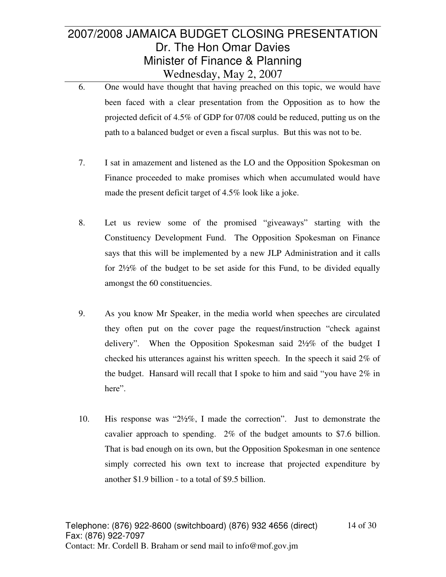- 6. One would have thought that having preached on this topic, we would have been faced with a clear presentation from the Opposition as to how the projected deficit of 4.5% of GDP for 07/08 could be reduced, putting us on the path to a balanced budget or even a fiscal surplus. But this was not to be.
- 7. I sat in amazement and listened as the LO and the Opposition Spokesman on Finance proceeded to make promises which when accumulated would have made the present deficit target of 4.5% look like a joke.
- 8. Let us review some of the promised "giveaways" starting with the Constituency Development Fund. The Opposition Spokesman on Finance says that this will be implemented by a new JLP Administration and it calls for 2½% of the budget to be set aside for this Fund, to be divided equally amongst the 60 constituencies.
- 9. As you know Mr Speaker, in the media world when speeches are circulated they often put on the cover page the request/instruction "check against delivery". When the Opposition Spokesman said 2½% of the budget I checked his utterances against his written speech. In the speech it said 2% of the budget. Hansard will recall that I spoke to him and said "you have 2% in here".
- 10. His response was "2½%, I made the correction". Just to demonstrate the cavalier approach to spending. 2% of the budget amounts to \$7.6 billion. That is bad enough on its own, but the Opposition Spokesman in one sentence simply corrected his own text to increase that projected expenditure by another \$1.9 billion - to a total of \$9.5 billion.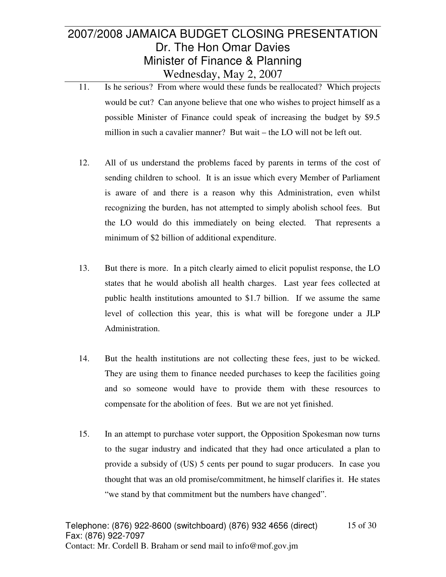- 11. Is he serious? From where would these funds be reallocated? Which projects would be cut? Can anyone believe that one who wishes to project himself as a possible Minister of Finance could speak of increasing the budget by \$9.5 million in such a cavalier manner? But wait – the LO will not be left out.
- 12. All of us understand the problems faced by parents in terms of the cost of sending children to school. It is an issue which every Member of Parliament is aware of and there is a reason why this Administration, even whilst recognizing the burden, has not attempted to simply abolish school fees. But the LO would do this immediately on being elected. That represents a minimum of \$2 billion of additional expenditure.
- 13. But there is more. In a pitch clearly aimed to elicit populist response, the LO states that he would abolish all health charges. Last year fees collected at public health institutions amounted to \$1.7 billion. If we assume the same level of collection this year, this is what will be foregone under a JLP Administration.
- 14. But the health institutions are not collecting these fees, just to be wicked. They are using them to finance needed purchases to keep the facilities going and so someone would have to provide them with these resources to compensate for the abolition of fees. But we are not yet finished.
- 15. In an attempt to purchase voter support, the Opposition Spokesman now turns to the sugar industry and indicated that they had once articulated a plan to provide a subsidy of (US) 5 cents per pound to sugar producers. In case you thought that was an old promise/commitment, he himself clarifies it. He states "we stand by that commitment but the numbers have changed".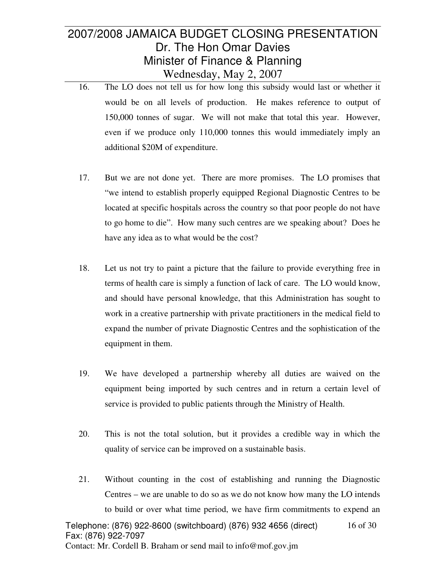- 16. The LO does not tell us for how long this subsidy would last or whether it would be on all levels of production. He makes reference to output of 150,000 tonnes of sugar. We will not make that total this year. However, even if we produce only 110,000 tonnes this would immediately imply an additional \$20M of expenditure.
- 17. But we are not done yet. There are more promises. The LO promises that "we intend to establish properly equipped Regional Diagnostic Centres to be located at specific hospitals across the country so that poor people do not have to go home to die". How many such centres are we speaking about? Does he have any idea as to what would be the cost?
- 18. Let us not try to paint a picture that the failure to provide everything free in terms of health care is simply a function of lack of care. The LO would know, and should have personal knowledge, that this Administration has sought to work in a creative partnership with private practitioners in the medical field to expand the number of private Diagnostic Centres and the sophistication of the equipment in them.
- 19. We have developed a partnership whereby all duties are waived on the equipment being imported by such centres and in return a certain level of service is provided to public patients through the Ministry of Health.
- 20. This is not the total solution, but it provides a credible way in which the quality of service can be improved on a sustainable basis.
- 21. Without counting in the cost of establishing and running the Diagnostic Centres – we are unable to do so as we do not know how many the LO intends to build or over what time period, we have firm commitments to expend an

Telephone: (876) 922-8600 (switchboard) (876) 932 4656 (direct) Fax: (876) 922-7097 Contact: Mr. Cordell B. Braham or send mail to info@mof.gov.jm 16 of 30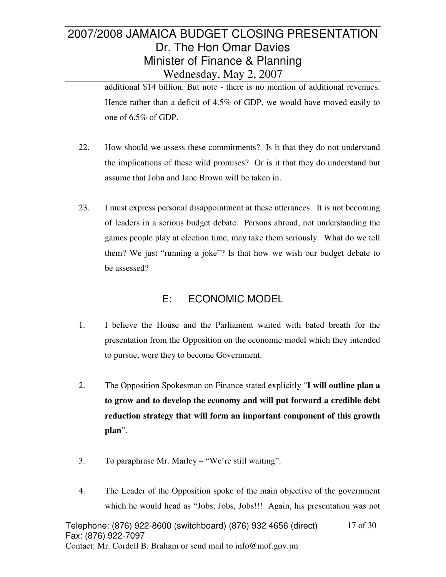additional \$14 billion. But note - there is no mention of additional revenues. Hence rather than a deficit of 4.5% of GDP, we would have moved easily to one of 6.5% of GDP.

- 22. How should we assess these commitments? Is it that they do not understand the implications of these wild promises? Or is it that they do understand but assume that John and Jane Brown will be taken in.
- 23. I must express personal disappointment at these utterances. It is not becoming of leaders in a serious budget debate. Persons abroad, not understanding the games people play at election time, may take them seriously. What do we tell them? We just "running a joke"? Is that how we wish our budget debate to be assessed?

#### E: ECONOMIC MODEL

- 1. I believe the House and the Parliament waited with bated breath for the presentation from the Opposition on the economic model which they intended to pursue, were they to become Government.
- 2. The Opposition Spokesman on Finance stated explicitly "**I will outline plan a to grow and to develop the economy and will put forward a credible debt reduction strategy that will form an important component of this growth plan**".
- 3. To paraphrase Mr. Marley "We're still waiting".
- 4. The Leader of the Opposition spoke of the main objective of the government which he would head as "Jobs, Jobs, Jobs!!! Again, his presentation was not

Telephone: (876) 922-8600 (switchboard) (876) 932 4656 (direct) Fax: (876) 922-7097 Contact: Mr. Cordell B. Braham or send mail to info@mof.gov.jm 17 of 30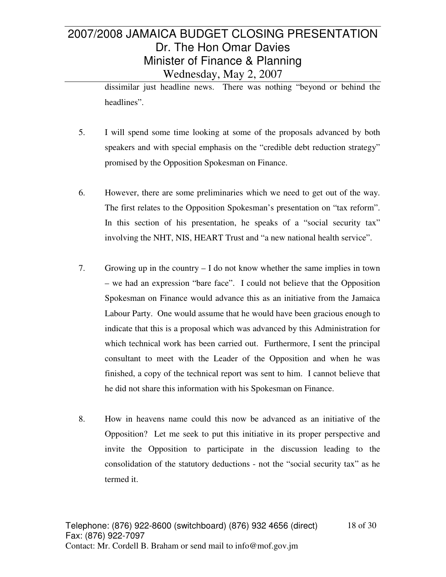dissimilar just headline news. There was nothing "beyond or behind the headlines".

- 5. I will spend some time looking at some of the proposals advanced by both speakers and with special emphasis on the "credible debt reduction strategy" promised by the Opposition Spokesman on Finance.
- 6. However, there are some preliminaries which we need to get out of the way. The first relates to the Opposition Spokesman's presentation on "tax reform". In this section of his presentation, he speaks of a "social security tax" involving the NHT, NIS, HEART Trust and "a new national health service".
- 7. Growing up in the country I do not know whether the same implies in town – we had an expression "bare face". I could not believe that the Opposition Spokesman on Finance would advance this as an initiative from the Jamaica Labour Party. One would assume that he would have been gracious enough to indicate that this is a proposal which was advanced by this Administration for which technical work has been carried out. Furthermore, I sent the principal consultant to meet with the Leader of the Opposition and when he was finished, a copy of the technical report was sent to him. I cannot believe that he did not share this information with his Spokesman on Finance.
- 8. How in heavens name could this now be advanced as an initiative of the Opposition? Let me seek to put this initiative in its proper perspective and invite the Opposition to participate in the discussion leading to the consolidation of the statutory deductions - not the "social security tax" as he termed it.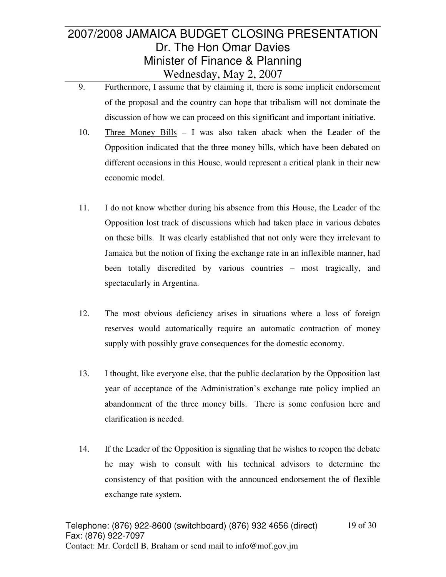- 9. Furthermore, I assume that by claiming it, there is some implicit endorsement of the proposal and the country can hope that tribalism will not dominate the discussion of how we can proceed on this significant and important initiative.
- 10. Three Money Bills I was also taken aback when the Leader of the Opposition indicated that the three money bills, which have been debated on different occasions in this House, would represent a critical plank in their new economic model.
- 11. I do not know whether during his absence from this House, the Leader of the Opposition lost track of discussions which had taken place in various debates on these bills. It was clearly established that not only were they irrelevant to Jamaica but the notion of fixing the exchange rate in an inflexible manner, had been totally discredited by various countries – most tragically, and spectacularly in Argentina.
- 12. The most obvious deficiency arises in situations where a loss of foreign reserves would automatically require an automatic contraction of money supply with possibly grave consequences for the domestic economy.
- 13. I thought, like everyone else, that the public declaration by the Opposition last year of acceptance of the Administration's exchange rate policy implied an abandonment of the three money bills. There is some confusion here and clarification is needed.
- 14. If the Leader of the Opposition is signaling that he wishes to reopen the debate he may wish to consult with his technical advisors to determine the consistency of that position with the announced endorsement the of flexible exchange rate system.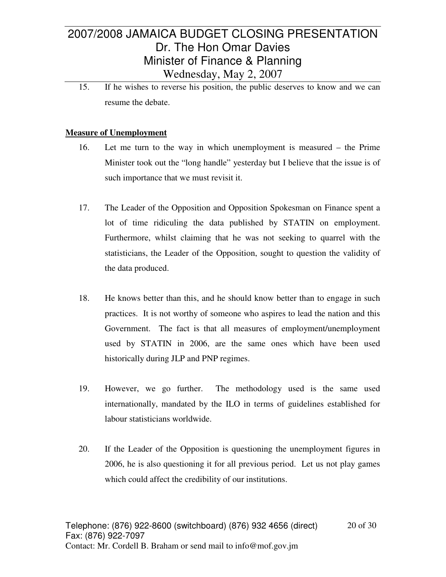15. If he wishes to reverse his position, the public deserves to know and we can resume the debate.

#### **Measure of Unemployment**

- 16. Let me turn to the way in which unemployment is measured the Prime Minister took out the "long handle" yesterday but I believe that the issue is of such importance that we must revisit it.
- 17. The Leader of the Opposition and Opposition Spokesman on Finance spent a lot of time ridiculing the data published by STATIN on employment. Furthermore, whilst claiming that he was not seeking to quarrel with the statisticians, the Leader of the Opposition, sought to question the validity of the data produced.
- 18. He knows better than this, and he should know better than to engage in such practices. It is not worthy of someone who aspires to lead the nation and this Government. The fact is that all measures of employment/unemployment used by STATIN in 2006, are the same ones which have been used historically during JLP and PNP regimes.
- 19. However, we go further. The methodology used is the same used internationally, mandated by the ILO in terms of guidelines established for labour statisticians worldwide.
- 20. If the Leader of the Opposition is questioning the unemployment figures in 2006, he is also questioning it for all previous period. Let us not play games which could affect the credibility of our institutions.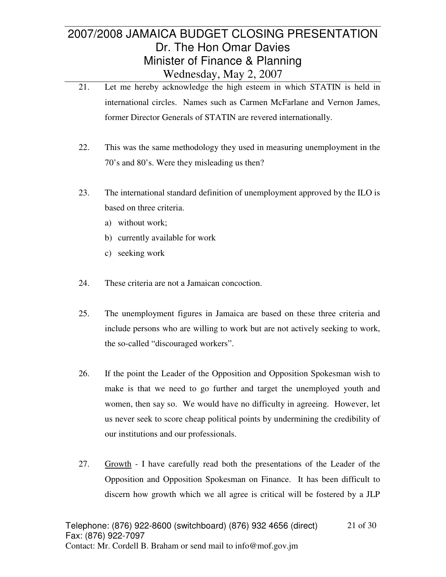- 21. Let me hereby acknowledge the high esteem in which STATIN is held in international circles. Names such as Carmen McFarlane and Vernon James, former Director Generals of STATIN are revered internationally.
- 22. This was the same methodology they used in measuring unemployment in the 70's and 80's. Were they misleading us then?
- 23. The international standard definition of unemployment approved by the ILO is based on three criteria.
	- a) without work;
	- b) currently available for work
	- c) seeking work
- 24. These criteria are not a Jamaican concoction.
- 25. The unemployment figures in Jamaica are based on these three criteria and include persons who are willing to work but are not actively seeking to work, the so-called "discouraged workers".
- 26. If the point the Leader of the Opposition and Opposition Spokesman wish to make is that we need to go further and target the unemployed youth and women, then say so. We would have no difficulty in agreeing. However, let us never seek to score cheap political points by undermining the credibility of our institutions and our professionals.
- 27. Growth I have carefully read both the presentations of the Leader of the Opposition and Opposition Spokesman on Finance. It has been difficult to discern how growth which we all agree is critical will be fostered by a JLP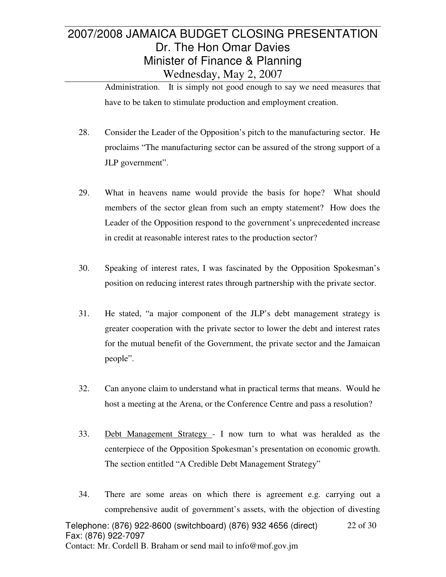Administration. It is simply not good enough to say we need measures that have to be taken to stimulate production and employment creation.

- 28. Consider the Leader of the Opposition's pitch to the manufacturing sector. He proclaims "The manufacturing sector can be assured of the strong support of a JLP government".
- 29. What in heavens name would provide the basis for hope? What should members of the sector glean from such an empty statement? How does the Leader of the Opposition respond to the government's unprecedented increase in credit at reasonable interest rates to the production sector?
- 30. Speaking of interest rates, I was fascinated by the Opposition Spokesman's position on reducing interest rates through partnership with the private sector.
- 31. He stated, "a major component of the JLP's debt management strategy is greater cooperation with the private sector to lower the debt and interest rates for the mutual benefit of the Government, the private sector and the Jamaican people".
- 32. Can anyone claim to understand what in practical terms that means. Would he host a meeting at the Arena, or the Conference Centre and pass a resolution?
- 33. Debt Management Strategy I now turn to what was heralded as the centerpiece of the Opposition Spokesman's presentation on economic growth. The section entitled "A Credible Debt Management Strategy"
- 34. There are some areas on which there is agreement e.g. carrying out a comprehensive audit of government's assets, with the objection of divesting

Telephone: (876) 922-8600 (switchboard) (876) 932 4656 (direct) Fax: (876) 922-7097 Contact: Mr. Cordell B. Braham or send mail to info@mof.gov.jm 22 of 30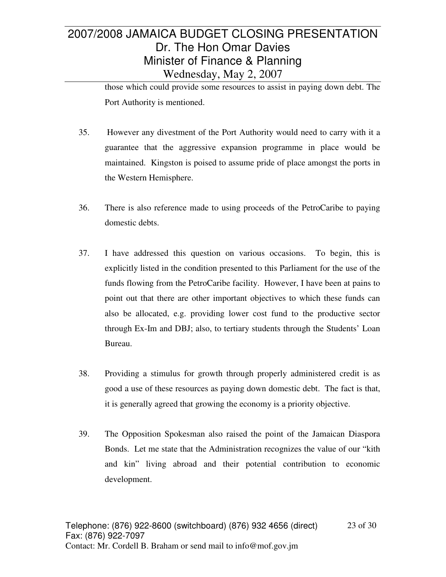those which could provide some resources to assist in paying down debt. The Port Authority is mentioned.

- 35. However any divestment of the Port Authority would need to carry with it a guarantee that the aggressive expansion programme in place would be maintained. Kingston is poised to assume pride of place amongst the ports in the Western Hemisphere.
- 36. There is also reference made to using proceeds of the PetroCaribe to paying domestic debts.
- 37. I have addressed this question on various occasions. To begin, this is explicitly listed in the condition presented to this Parliament for the use of the funds flowing from the PetroCaribe facility. However, I have been at pains to point out that there are other important objectives to which these funds can also be allocated, e.g. providing lower cost fund to the productive sector through Ex-Im and DBJ; also, to tertiary students through the Students' Loan Bureau.
- 38. Providing a stimulus for growth through properly administered credit is as good a use of these resources as paying down domestic debt. The fact is that, it is generally agreed that growing the economy is a priority objective.
- 39. The Opposition Spokesman also raised the point of the Jamaican Diaspora Bonds. Let me state that the Administration recognizes the value of our "kith and kin" living abroad and their potential contribution to economic development.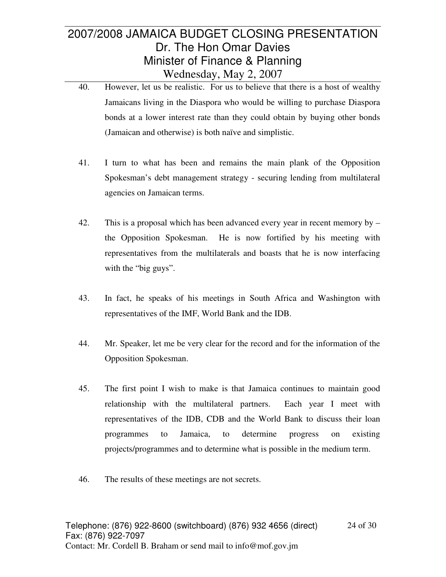- 40. However, let us be realistic. For us to believe that there is a host of wealthy Jamaicans living in the Diaspora who would be willing to purchase Diaspora bonds at a lower interest rate than they could obtain by buying other bonds (Jamaican and otherwise) is both naïve and simplistic.
- 41. I turn to what has been and remains the main plank of the Opposition Spokesman's debt management strategy - securing lending from multilateral agencies on Jamaican terms.
- 42. This is a proposal which has been advanced every year in recent memory by the Opposition Spokesman. He is now fortified by his meeting with representatives from the multilaterals and boasts that he is now interfacing with the "big guys".
- 43. In fact, he speaks of his meetings in South Africa and Washington with representatives of the IMF, World Bank and the IDB.
- 44. Mr. Speaker, let me be very clear for the record and for the information of the Opposition Spokesman.
- 45. The first point I wish to make is that Jamaica continues to maintain good relationship with the multilateral partners. Each year I meet with representatives of the IDB, CDB and the World Bank to discuss their loan programmes to Jamaica, to determine progress on existing projects/programmes and to determine what is possible in the medium term.
- 46. The results of these meetings are not secrets.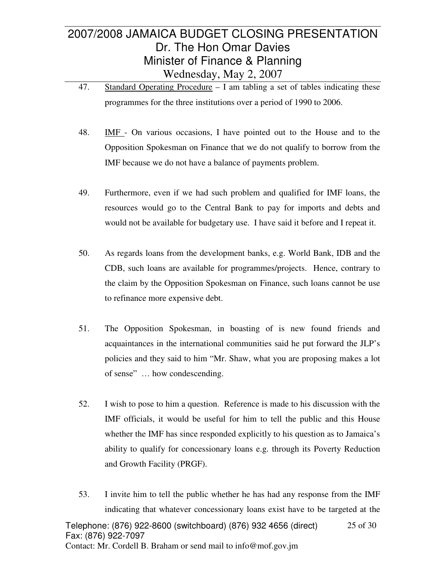- 47. Standard Operating Procedure I am tabling a set of tables indicating these programmes for the three institutions over a period of 1990 to 2006.
- 48. IMF On various occasions, I have pointed out to the House and to the Opposition Spokesman on Finance that we do not qualify to borrow from the IMF because we do not have a balance of payments problem.
- 49. Furthermore, even if we had such problem and qualified for IMF loans, the resources would go to the Central Bank to pay for imports and debts and would not be available for budgetary use. I have said it before and I repeat it.
- 50. As regards loans from the development banks, e.g. World Bank, IDB and the CDB, such loans are available for programmes/projects. Hence, contrary to the claim by the Opposition Spokesman on Finance, such loans cannot be use to refinance more expensive debt.
- 51. The Opposition Spokesman, in boasting of is new found friends and acquaintances in the international communities said he put forward the JLP's policies and they said to him "Mr. Shaw, what you are proposing makes a lot of sense" … how condescending.
- 52. I wish to pose to him a question. Reference is made to his discussion with the IMF officials, it would be useful for him to tell the public and this House whether the IMF has since responded explicitly to his question as to Jamaica's ability to qualify for concessionary loans e.g. through its Poverty Reduction and Growth Facility (PRGF).
- 53. I invite him to tell the public whether he has had any response from the IMF indicating that whatever concessionary loans exist have to be targeted at the

Telephone: (876) 922-8600 (switchboard) (876) 932 4656 (direct) Fax: (876) 922-7097 Contact: Mr. Cordell B. Braham or send mail to info@mof.gov.jm 25 of 30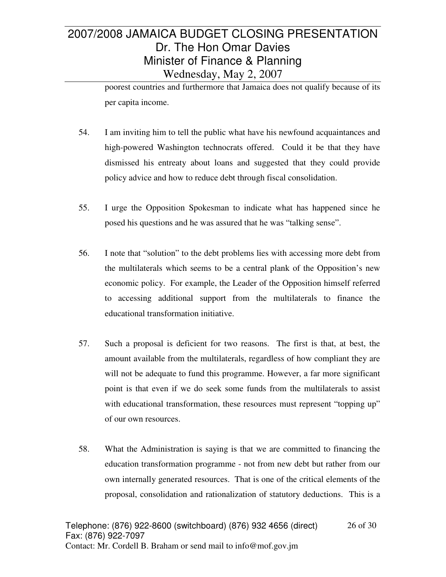poorest countries and furthermore that Jamaica does not qualify because of its per capita income.

- 54. I am inviting him to tell the public what have his newfound acquaintances and high-powered Washington technocrats offered. Could it be that they have dismissed his entreaty about loans and suggested that they could provide policy advice and how to reduce debt through fiscal consolidation.
- 55. I urge the Opposition Spokesman to indicate what has happened since he posed his questions and he was assured that he was "talking sense".
- 56. I note that "solution" to the debt problems lies with accessing more debt from the multilaterals which seems to be a central plank of the Opposition's new economic policy. For example, the Leader of the Opposition himself referred to accessing additional support from the multilaterals to finance the educational transformation initiative.
- 57. Such a proposal is deficient for two reasons. The first is that, at best, the amount available from the multilaterals, regardless of how compliant they are will not be adequate to fund this programme. However, a far more significant point is that even if we do seek some funds from the multilaterals to assist with educational transformation, these resources must represent "topping up" of our own resources.
- 58. What the Administration is saying is that we are committed to financing the education transformation programme - not from new debt but rather from our own internally generated resources. That is one of the critical elements of the proposal, consolidation and rationalization of statutory deductions. This is a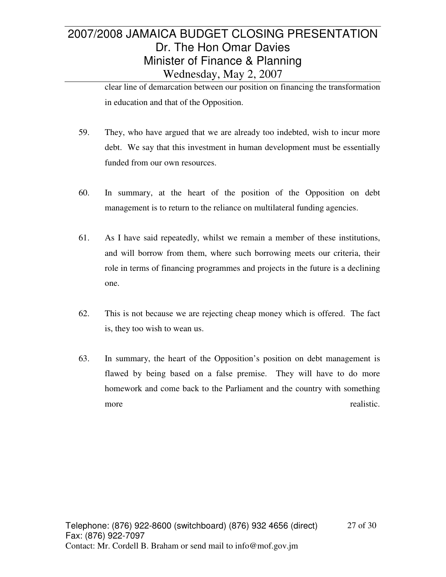clear line of demarcation between our position on financing the transformation in education and that of the Opposition.

- 59. They, who have argued that we are already too indebted, wish to incur more debt. We say that this investment in human development must be essentially funded from our own resources.
- 60. In summary, at the heart of the position of the Opposition on debt management is to return to the reliance on multilateral funding agencies.
- 61. As I have said repeatedly, whilst we remain a member of these institutions, and will borrow from them, where such borrowing meets our criteria, their role in terms of financing programmes and projects in the future is a declining one.
- 62. This is not because we are rejecting cheap money which is offered. The fact is, they too wish to wean us.
- 63. In summary, the heart of the Opposition's position on debt management is flawed by being based on a false premise. They will have to do more homework and come back to the Parliament and the country with something more realistic.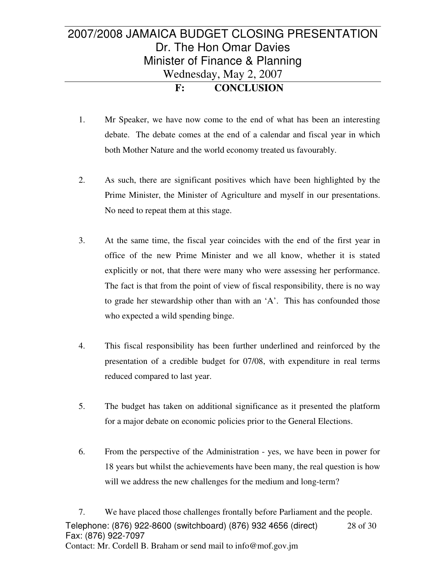- 1. Mr Speaker, we have now come to the end of what has been an interesting debate. The debate comes at the end of a calendar and fiscal year in which both Mother Nature and the world economy treated us favourably.
- 2. As such, there are significant positives which have been highlighted by the Prime Minister, the Minister of Agriculture and myself in our presentations. No need to repeat them at this stage.
- 3. At the same time, the fiscal year coincides with the end of the first year in office of the new Prime Minister and we all know, whether it is stated explicitly or not, that there were many who were assessing her performance. The fact is that from the point of view of fiscal responsibility, there is no way to grade her stewardship other than with an 'A'. This has confounded those who expected a wild spending binge.
- 4. This fiscal responsibility has been further underlined and reinforced by the presentation of a credible budget for 07/08, with expenditure in real terms reduced compared to last year.
- 5. The budget has taken on additional significance as it presented the platform for a major debate on economic policies prior to the General Elections.
- 6. From the perspective of the Administration yes, we have been in power for 18 years but whilst the achievements have been many, the real question is how will we address the new challenges for the medium and long-term?

Telephone: (876) 922-8600 (switchboard) (876) 932 4656 (direct) Fax: (876) 922-7097 Contact: Mr. Cordell B. Braham or send mail to info@mof.gov.jm 28 of 30 7. We have placed those challenges frontally before Parliament and the people.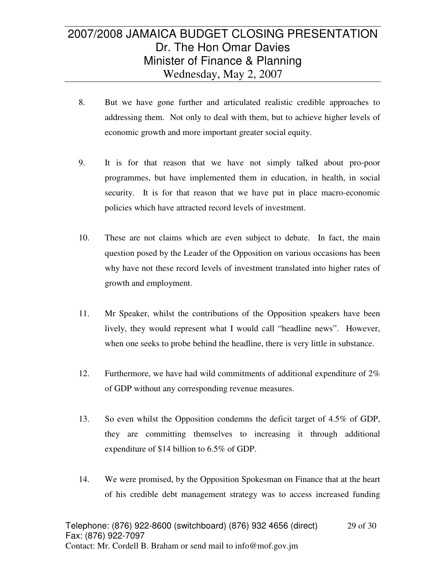- 8. But we have gone further and articulated realistic credible approaches to addressing them. Not only to deal with them, but to achieve higher levels of economic growth and more important greater social equity.
- 9. It is for that reason that we have not simply talked about pro-poor programmes, but have implemented them in education, in health, in social security. It is for that reason that we have put in place macro-economic policies which have attracted record levels of investment.
- 10. These are not claims which are even subject to debate. In fact, the main question posed by the Leader of the Opposition on various occasions has been why have not these record levels of investment translated into higher rates of growth and employment.
- 11. Mr Speaker, whilst the contributions of the Opposition speakers have been lively, they would represent what I would call "headline news". However, when one seeks to probe behind the headline, there is very little in substance.
- 12. Furthermore, we have had wild commitments of additional expenditure of 2% of GDP without any corresponding revenue measures.
- 13. So even whilst the Opposition condemns the deficit target of 4.5% of GDP, they are committing themselves to increasing it through additional expenditure of \$14 billion to 6.5% of GDP.
- 14. We were promised, by the Opposition Spokesman on Finance that at the heart of his credible debt management strategy was to access increased funding